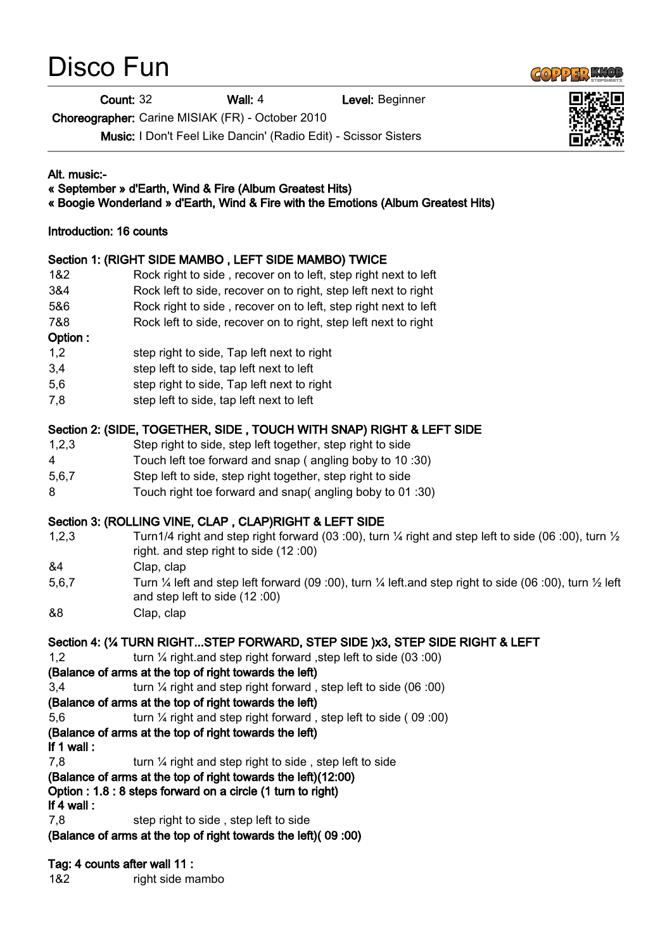# Disco Fun

**Count: 32 Wall: 4** Level: Beginner

Choreographer: Carine MISIAK (FR) - October 2010

Music: I Don't Feel Like Dancin' (Radio Edit) - Scissor Sisters

#### Alt. music:-

#### « September » d'Earth, Wind & Fire (Album Greatest Hits)

#### « Boogie Wonderland » d'Earth, Wind & Fire with the Emotions (Album Greatest Hits)

#### Introduction: 16 counts

## Section 1: (RIGHT SIDE MAMBO , LEFT SIDE MAMBO) TWICE

- 1&2 Rock right to side , recover on to left, step right next to left
- 3&4 Rock left to side, recover on to right, step left next to right
- 5&6 Rock right to side , recover on to left, step right next to left
- 7&8 Rock left to side, recover on to right, step left next to right

#### Option :

- 1,2 step right to side, Tap left next to right
- 3,4 step left to side, tap left next to left
- 5,6 step right to side, Tap left next to right
- 7,8 step left to side, tap left next to left

## Section 2: (SIDE, TOGETHER, SIDE , TOUCH WITH SNAP) RIGHT & LEFT SIDE

- 1,2,3 Step right to side, step left together, step right to side
- 4 Touch left toe forward and snap ( angling boby to 10 :30)
- 5,6,7 Step left to side, step right together, step right to side
- 8 Touch right toe forward and snap( angling boby to 01 :30)

## Section 3: (ROLLING VINE, CLAP , CLAP)RIGHT & LEFT SIDE

- 1,2,3 Turn1/4 right and step right forward (03 :00), turn ¼ right and step left to side (06 :00), turn ½ right. and step right to side (12 :00)
- &4 Clap, clap
- 5,6,7 Turn ¼ left and step left forward (09 :00), turn ¼ left.and step right to side (06 :00), turn ½ left and step left to side (12 :00)
- &8 Clap, clap

## Section 4: (¼ TURN RIGHT...STEP FORWARD, STEP SIDE )x3, STEP SIDE RIGHT & LEFT

1,2 turn ¼ right.and step right forward ,step left to side (03 :00)

## (Balance of arms at the top of right towards the left)

3,4 turn ¼ right and step right forward , step left to side (06 :00)

# (Balance of arms at the top of right towards the left)

5,6 turn ¼ right and step right forward , step left to side ( 09 :00)

# (Balance of arms at the top of right towards the left)

- If 1 wall :
- 7.8 turn 1/4 right and step right to side , step left to side

# (Balance of arms at the top of right towards the left)(12:00)

Option : 1.8 : 8 steps forward on a circle (1 turn to right)

If 4 wall :

7,8 step right to side , step left to side

(Balance of arms at the top of right towards the left)( 09 :00)

# Tag: 4 counts after wall 11 :

1&2 right side mambo